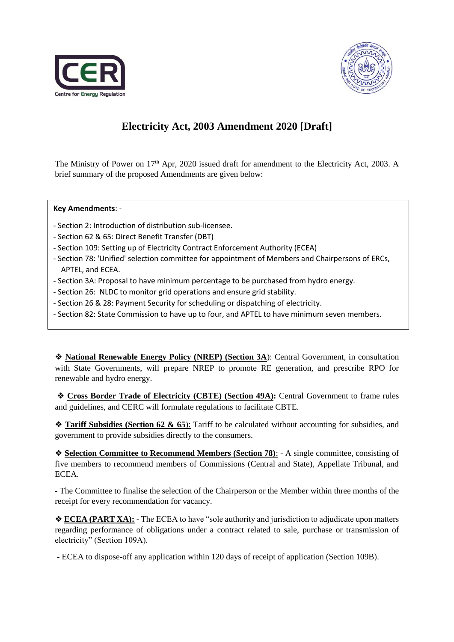



# **Electricity Act, 2003 Amendment 2020 [Draft]**

The Ministry of Power on 17<sup>th</sup> Apr, 2020 issued draft for amendment to the Electricity Act, 2003. A brief summary of the proposed Amendments are given below:

**Key Amendments**: -

- Section 2: Introduction of distribution sub-licensee.
- Section 62 & 65: Direct Benefit Transfer (DBT)
- Section 109: Setting up of Electricity Contract Enforcement Authority (ECEA)
- Section 78: 'Unified' selection committee for appointment of Members and Chairpersons of ERCs, APTEL, and ECEA.
- Section 3A: Proposal to have minimum percentage to be purchased from hydro energy.
- Section 26: NLDC to monitor grid operations and ensure grid stability.
- Section 26 & 28: Payment Security for scheduling or dispatching of electricity.
- Section 82: State Commission to have up to four, and APTEL to have minimum seven members.

❖ **National Renewable Energy Policy (NREP) (Section 3A**): Central Government, in consultation with State Governments, will prepare NREP to promote RE generation, and prescribe RPO for renewable and hydro energy.

❖ **Cross Border Trade of Electricity (CBTE) (Section 49A):** Central Government to frame rules and guidelines, and CERC will formulate regulations to facilitate CBTE.

❖ **Tariff Subsidies (Section 62 & 65**): Tariff to be calculated without accounting for subsidies, and government to provide subsidies directly to the consumers.

❖ **Selection Committee to Recommend Members (Section 78)**: - A single committee, consisting of five members to recommend members of Commissions (Central and State), Appellate Tribunal, and ECEA.

- The Committee to finalise the selection of the Chairperson or the Member within three months of the receipt for every recommendation for vacancy.

❖ **ECEA (PART XA):** - The ECEA to have "sole authority and jurisdiction to adjudicate upon matters regarding performance of obligations under a contract related to sale, purchase or transmission of electricity" (Section 109A).

- ECEA to dispose-off any application within 120 days of receipt of application (Section 109B).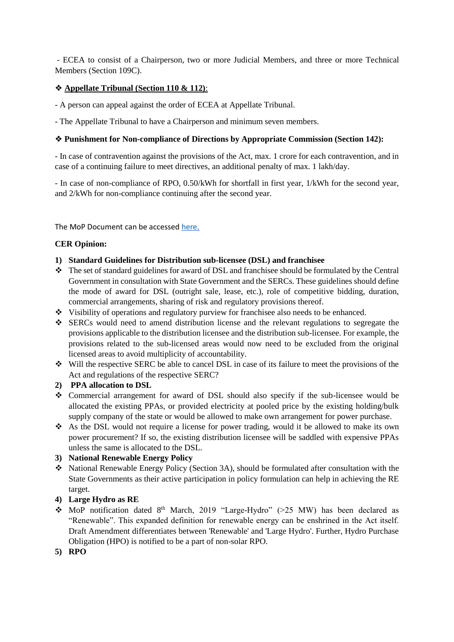- ECEA to consist of a Chairperson, two or more Judicial Members, and three or more Technical Members (Section 109C).

### ❖ **Appellate Tribunal (Section 110 & 112)**:

- A person can appeal against the order of ECEA at Appellate Tribunal.

- The Appellate Tribunal to have a Chairperson and minimum seven members.

#### ❖ **Punishment for Non-compliance of Directions by Appropriate Commission (Section 142):**

- In case of contravention against the provisions of the Act, max. 1 crore for each contravention, and in case of a continuing failure to meet directives, an additional penalty of max. 1 lakh/day.

- In case of non-compliance of RPO, 0.50/kWh for shortfall in first year, 1/kWh for the second year, and 2/kWh for non-compliance continuing after the second year.

The MoP Document can be accessed [here.](https://powermin.nic.in/sites/default/files/webform/notices/Letter_dated_27_April_2020_for_extension%20of%20time%20for%20seeking%20comments.pdf)

#### **CER Opinion:**

- **1) Standard Guidelines for Distribution sub-licensee (DSL) and franchisee**
- ❖ The set of standard guidelines for award of DSL and franchisee should be formulated by the Central Government in consultation with State Government and the SERCs. These guidelines should define the mode of award for DSL (outright sale, lease, etc.), role of competitive bidding, duration, commercial arrangements, sharing of risk and regulatory provisions thereof.
- ❖ Visibility of operations and regulatory purview for franchisee also needs to be enhanced.
- ❖ SERCs would need to amend distribution license and the relevant regulations to segregate the provisions applicable to the distribution licensee and the distribution sub-licensee. For example, the provisions related to the sub-licensed areas would now need to be excluded from the original licensed areas to avoid multiplicity of accountability.
- ❖ Will the respective SERC be able to cancel DSL in case of its failure to meet the provisions of the Act and regulations of the respective SERC?

#### **2) PPA allocation to DSL**

- ❖ Commercial arrangement for award of DSL should also specify if the sub-licensee would be allocated the existing PPAs, or provided electricity at pooled price by the existing holding/bulk supply company of the state or would be allowed to make own arrangement for power purchase.
- ❖ As the DSL would not require a license for power trading, would it be allowed to make its own power procurement? If so, the existing distribution licensee will be saddled with expensive PPAs unless the same is allocated to the DSL.

#### **3) National Renewable Energy Policy**

❖ National Renewable Energy Policy (Section 3A), should be formulated after consultation with the State Governments as their active participation in policy formulation can help in achieving the RE target.

### **4) Large Hydro as RE**

- MoP notification dated 8<sup>th</sup> March, 2019 "Large-Hydro" (>25 MW) has been declared as "Renewable". This expanded definition for renewable energy can be enshrined in the Act itself. Draft Amendment differentiates between 'Renewable' and 'Large Hydro'. Further, Hydro Purchase Obligation (HPO) is notified to be a part of non-solar RPO.
- **5) RPO**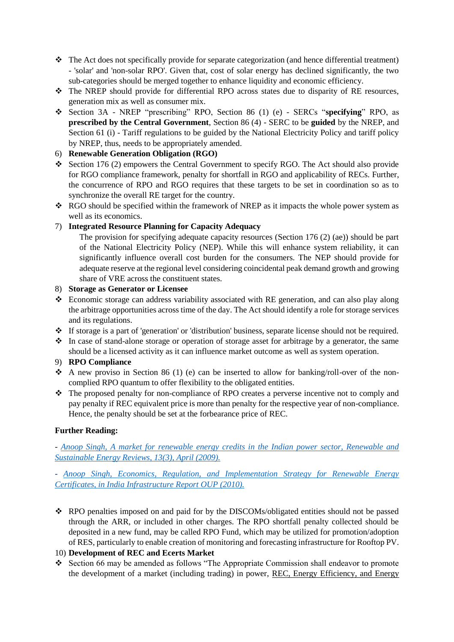- ❖ The Act does not specifically provide for separate categorization (and hence differential treatment) - 'solar' and 'non-solar RPO'. Given that, cost of solar energy has declined significantly, the two sub-categories should be merged together to enhance liquidity and economic efficiency.
- ❖ The NREP should provide for differential RPO across states due to disparity of RE resources, generation mix as well as consumer mix.
- ❖ Section 3A NREP "prescribing" RPO, Section 86 (1) (e) SERCs "**specifying**" RPO, as **prescribed by the Central Government**, Section 86 (4) - SERC to be **guided** by the NREP, and Section 61 (i) - Tariff regulations to be guided by the National Electricity Policy and tariff policy by NREP, thus, needs to be appropriately amended.

## 6) **Renewable Generation Obligation (RGO)**

- ❖ Section 176 (2) empowers the Central Government to specify RGO. The Act should also provide for RGO compliance framework, penalty for shortfall in RGO and applicability of RECs. Further, the concurrence of RPO and RGO requires that these targets to be set in coordination so as to synchronize the overall RE target for the country.
- ❖ RGO should be specified within the framework of NREP as it impacts the whole power system as well as its economics.

# 7) **Integrated Resource Planning for Capacity Adequacy**

The provision for specifying adequate capacity resources (Section 176 (2) (ae)) should be part of the National Electricity Policy (NEP). While this will enhance system reliability, it can significantly influence overall cost burden for the consumers. The NEP should provide for adequate reserve at the regional level considering coincidental peak demand growth and growing share of VRE across the constituent states.

### 8) **Storage as Generator or Licensee**

- ❖ Economic storage can address variability associated with RE generation, and can also play along the arbitrage opportunities across time of the day. The Act should identify a role for storage services and its regulations.
- ❖ If storage is a part of 'generation' or 'distribution' business, separate license should not be required.
- ❖ In case of stand-alone storage or operation of storage asset for arbitrage by a generator, the same should be a licensed activity as it can influence market outcome as well as system operation.

### 9) **RPO Compliance**

- $\triangle$  A new proviso in Section 86 (1) (e) can be inserted to allow for banking/roll-over of the noncomplied RPO quantum to offer flexibility to the obligated entities.
- ❖ The proposed penalty for non-compliance of RPO creates a perverse incentive not to comply and pay penalty if REC equivalent price is more than penalty for the respective year of non-compliance. Hence, the penalty should be set at the forbearance price of REC.

### **Further Reading:**

*- [Anoop Singh, A market for renewable energy credits in the Indian power sector, Renewable and](https://ssrn.com/abstract=2760197)  [Sustainable Energy Reviews, 13\(3\), April \(2009\).](https://ssrn.com/abstract=2760197)*

*- [Anoop Singh, Economics, Regulation, and Implementation Strategy for Renewable Energy](https://papers.ssrn.com/sol3/papers.cfm?abstract_id=3440253)  [Certificates, in India Infrastructure Report OUP \(2010\).](https://papers.ssrn.com/sol3/papers.cfm?abstract_id=3440253)*

❖ RPO penalties imposed on and paid for by the DISCOMs/obligated entities should not be passed through the ARR, or included in other charges. The RPO shortfall penalty collected should be deposited in a new fund, may be called RPO Fund, which may be utilized for promotion/adoption of RES, particularly to enable creation of monitoring and forecasting infrastructure for Rooftop PV.

### 10) **Development of REC and Ecerts Market**

❖ Section 66 may be amended as follows "The Appropriate Commission shall endeavor to promote the development of a market (including trading) in power, REC, Energy Efficiency, and Energy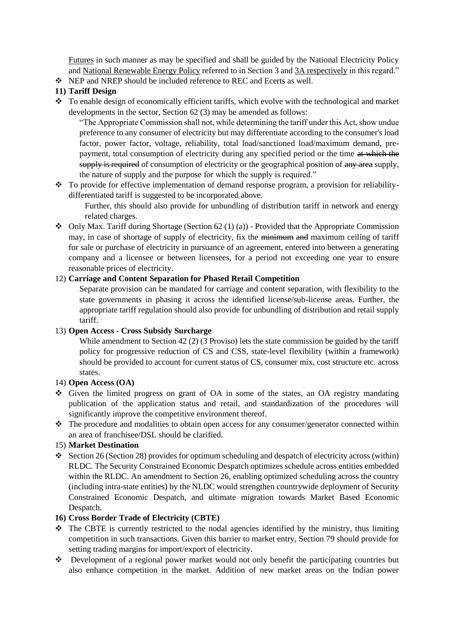Futures in such manner as may be specified and shall be guided by the National Electricity Policy and National Renewable Energy Policy referred to in Section 3 and 3A respectively in this regard."

❖ NEP and NREP should be included reference to REC and Ecerts as well.

## **11) Tariff Design**

❖ To enable design of economically efficient tariffs, which evolve with the technological and market developments in the sector, Section 62 (3) may be amended as follows:

"The Appropriate Commission shall not, while determining the tariff under this Act, show undue preference to any consumer of electricity but may differentiate according to the consumer's load factor, power factor, voltage, reliability, total load/sanctioned load/maximum demand, prepayment, total consumption of electricity during any specified period or the time at which the supply is required of consumption of electricity or the geographical position of any area supply, the nature of supply and the purpose for which the supply is required."

❖ To provide for effective implementation of demand response program, a provision for reliabilitydifferentiated tariff is suggested to be incorporated above.

Further, this should also provide for unbundling of distribution tariff in network and energy related charges.

 $\bullet$  Only Max. Tariff during Shortage (Section 62 (1) (a)) - Provided that the Appropriate Commission may, in case of shortage of supply of electricity, fix the minimum and maximum ceiling of tariff for sale or purchase of electricity in pursuance of an agreement, entered into between a generating company and a licensee or between licensees, for a period not exceeding one year to ensure reasonable prices of electricity.

### 12) **Carriage and Content Separation for Phased Retail Competition**

Separate provision can be mandated for carriage and content separation, with flexibility to the state governments in phasing it across the identified license/sub-license areas. Further, the appropriate tariff regulation should also provide for unbundling of distribution and retail supply tariff.

### 13) **Open Access - Cross Subsidy Surcharge**

While amendment to Section 42 (2) (3 Proviso) lets the state commission be guided by the tariff policy for progressive reduction of CS and CSS, state-level flexibility (within a framework) should be provided to account for current status of CS, consumer mix, cost structure etc. across states.

### 14) **Open Access (OA)**

- ❖ Given the limited progress on grant of OA in some of the states, an OA registry mandating publication of the application status and retail, and standardization of the procedures will significantly improve the competitive environment thereof.
- ❖ The procedure and modalities to obtain open access for any consumer/generator connected within an area of franchisee/DSL should be clarified.

### 15) **Market Destination**

 $\triangleq$  Section 26 (Section 28) provides for optimum scheduling and despatch of electricity across (within) RLDC. The Security Constrained Economic Despatch optimizes schedule across entities embedded within the RLDC. An amendment to Section 26, enabling optimized scheduling across the country (including intra-state entities) by the NLDC would strengthen countrywide deployment of Security Constrained Economic Despatch, and ultimate migration towards Market Based Economic Despatch.

### **16) Cross Border Trade of Electricity (CBTE)**

- $\div$  The CBTE is currently restricted to the nodal agencies identified by the ministry, thus limiting competition in such transactions. Given this barrier to market entry, Section 79 should provide for setting trading margins for import/export of electricity.
- ❖ Development of a regional power market would not only benefit the participating countries but also enhance competition in the market. Addition of new market areas on the Indian power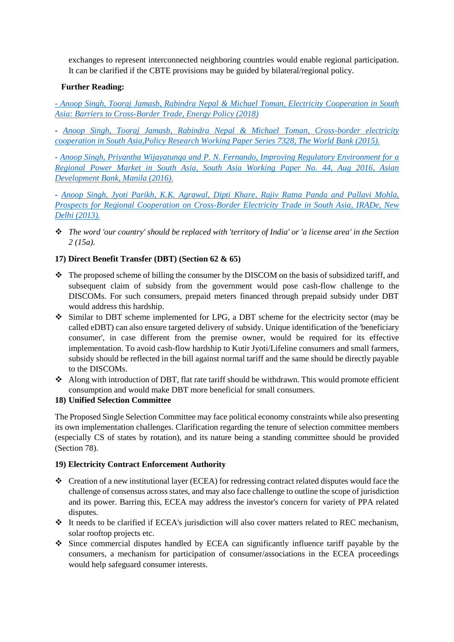exchanges to represent interconnected neighboring countries would enable regional participation. It can be clarified if the CBTE provisions may be guided by bilateral/regional policy.

# **Further Reading:**

*- [Anoop Singh, Tooraj Jamasb, Rabindra Nepal & Michael Toman, Electricity Cooperation in South](https://papers.ssrn.com/sol3/papers.cfm?abstract_id=3440497)  [Asia: Barriers to Cross-Border Trade, Energy Policy \(2018\)](https://papers.ssrn.com/sol3/papers.cfm?abstract_id=3440497)*

*- [Anoop Singh, Tooraj Jamasb, Rabindra Nepal & Michael Toman, Cross-border electricity](https://papers.ssrn.com/sol3/papers.cfm?abstract_id=2622314)  [cooperation in South Asia,Policy Research Working Paper Series 7328, The World Bank \(2015\).](https://papers.ssrn.com/sol3/papers.cfm?abstract_id=2622314)*

*- [Anoop Singh, Priyantha Wijayatunga and P. N. Fernando, Improving Regulatory Environment for a](https://papers.ssrn.com/sol3/papers.cfm?abstract_id=2941305)  [Regional Power Market in South Asia, South Asia Working Paper No. 44, Aug 2016, Asian](https://papers.ssrn.com/sol3/papers.cfm?abstract_id=2941305)  [Development Bank, Manila \(2016\).](https://papers.ssrn.com/sol3/papers.cfm?abstract_id=2941305)*

*- [Anoop Singh, Jyoti Parikh, K.K. Agrawal, Dipti Khare, Rajiv Ratna Panda and Pallavi Mohla,](http://ssrn.com/abstract=3440538)  [Prospects for Regional Cooperation on Cross-Border Electricity Trade in South Asia, IRADe, New](http://ssrn.com/abstract=3440538)  [Delhi \(2013\).](http://ssrn.com/abstract=3440538)*

❖ *The word 'our country' should be replaced with 'territory of India' or 'a license area' in the Section 2 (15a).* 

# **17) Direct Benefit Transfer (DBT) (Section 62 & 65)**

- ❖ The proposed scheme of billing the consumer by the DISCOM on the basis of subsidized tariff, and subsequent claim of subsidy from the government would pose cash-flow challenge to the DISCOMs. For such consumers, prepaid meters financed through prepaid subsidy under DBT would address this hardship.
- ❖ Similar to DBT scheme implemented for LPG, a DBT scheme for the electricity sector (may be called eDBT) can also ensure targeted delivery of subsidy. Unique identification of the 'beneficiary consumer', in case different from the premise owner, would be required for its effective implementation. To avoid cash-flow hardship to Kutir Jyoti/Lifeline consumers and small farmers, subsidy should be reflected in the bill against normal tariff and the same should be directly payable to the DISCOMs.
- ❖ Along with introduction of DBT, flat rate tariff should be withdrawn. This would promote efficient consumption and would make DBT more beneficial for small consumers.

### **18) Unified Selection Committee**

The Proposed Single Selection Committee may face political economy constraints while also presenting its own implementation challenges. Clarification regarding the tenure of selection committee members (especially CS of states by rotation), and its nature being a standing committee should be provided (Section 78).

### **19) Electricity Contract Enforcement Authority**

- ❖ Creation of a new institutional layer (ECEA) for redressing contract related disputes would face the challenge of consensus across states, and may also face challenge to outline the scope of jurisdiction and its power. Barring this, ECEA may address the investor's concern for variety of PPA related disputes.
- ❖ It needs to be clarified if ECEA's jurisdiction will also cover matters related to REC mechanism, solar rooftop projects etc.
- ❖ Since commercial disputes handled by ECEA can significantly influence tariff payable by the consumers, a mechanism for participation of consumer/associations in the ECEA proceedings would help safeguard consumer interests.